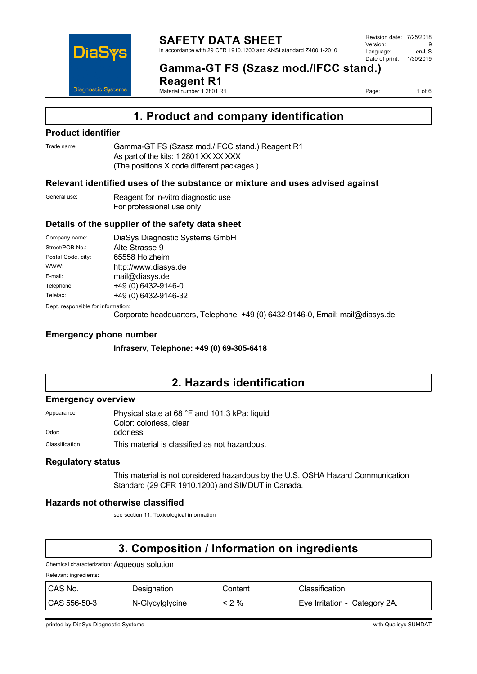

**Gamma-GT FS (Szasz mod./IFCC stand.) Reagent R1**

Page: 1 of 6

# **1. Product and company identification**

### **Product identifier**

Trade name: Gamma-GT FS (Szasz mod./IFCC stand.) Reagent R1 As part of the kits: 1 2801 XX XX XXX (The positions X code different packages.)

Material number 1 2801 R1

### **Relevant identified uses of the substance or mixture and uses advised against**

General use: Reagent for in-vitro diagnostic use For professional use only

### **Details of the supplier of the safety data sheet**

| Company name:      | DiaSys Diagnostic Systems GmbH |
|--------------------|--------------------------------|
| Street/POB-No.:    | Alte Strasse 9                 |
| Postal Code, city: | 65558 Holzheim                 |
| WWW:               | http://www.diasys.de           |
| E-mail:            | mail@diasys.de                 |
| Telephone:         | +49 (0) 6432-9146-0            |
| Telefax:           | +49 (0) 6432-9146-32           |
|                    |                                |

Dept. responsible for information:

Corporate headquarters, Telephone: +49 (0) 6432-9146-0, Email: mail@diasys.de

### **Emergency phone number**

**Infraserv, Telephone: +49 (0) 69-305-6418**

### **2. Hazards identification**

### **Emergency overview**

| Physical state at 68 °F and 101.3 kPa: liquid |
|-----------------------------------------------|
| Color: colorless. clear                       |
| odorless                                      |
|                                               |

Classification: This material is classified as not hazardous.

### **Regulatory status**

This material is not considered hazardous by the U.S. OSHA Hazard Communication Standard (29 CFR 1910.1200) and SIMDUT in Canada.

### **Hazards not otherwise classified**

see section 11: Toxicological information

# **3. Composition / Information on ingredients**

### Chemical characterization: Aqueous solution

Relevant ingredients:

| CAS No.      | Designation     | Content | Classification                |
|--------------|-----------------|---------|-------------------------------|
| CAS 556-50-3 | N-Glycylglycine | : 2 %   | Eye Irritation - Category 2A. |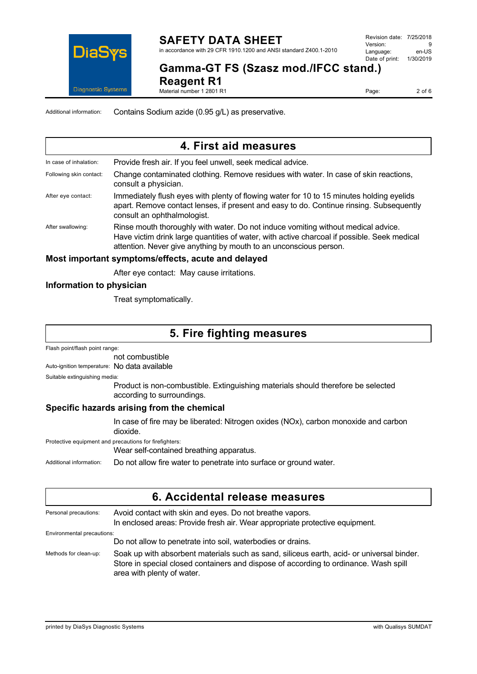

Revision date: 7/25/2018 Version: 9<br>Language: en-LIS Language: en-US<br>Date of print: 1/30/2019  $Date$  of print:

# **Gamma-GT FS (Szasz mod./IFCC stand.)**

**Reagent R1**

Material number 1 2801 R1

Page: 2 of 6

Additional information: Contains Sodium azide (0.95 g/L) as preservative.

# **4. First aid measures**

In case of inhalation: Provide fresh air. If you feel unwell, seek medical advice. Following skin contact: Change contaminated clothing. Remove residues with water. In case of skin reactions, consult a physician.

- After eye contact: Immediately flush eyes with plenty of flowing water for 10 to 15 minutes holding eyelids apart. Remove contact lenses, if present and easy to do. Continue rinsing. Subsequently consult an ophthalmologist.
- After swallowing: Rinse mouth thoroughly with water. Do not induce vomiting without medical advice. Have victim drink large quantities of water, with active charcoal if possible. Seek medical attention. Never give anything by mouth to an unconscious person.

### **Most important symptoms/effects, acute and delayed**

After eye contact: May cause irritations.

### **Information to physician**

Treat symptomatically.

# **5. Fire fighting measures**

Flash point/flash point range:

not combustible

Auto-ignition temperature: No data available

Suitable extinguishing media:

Product is non-combustible. Extinguishing materials should therefore be selected according to surroundings.

### **Specific hazards arising from the chemical**

In case of fire may be liberated: Nitrogen oxides (NOx), carbon monoxide and carbon dioxide.

Protective equipment and precautions for firefighters:

Wear self-contained breathing apparatus.

Additional information: Do not allow fire water to penetrate into surface or ground water.

### **6. Accidental release measures**

| Personal precautions:      | Avoid contact with skin and eyes. Do not breathe vapors.<br>In enclosed areas: Provide fresh air. Wear appropriate protective equipment.                                                                        |
|----------------------------|-----------------------------------------------------------------------------------------------------------------------------------------------------------------------------------------------------------------|
| Environmental precautions: |                                                                                                                                                                                                                 |
|                            | Do not allow to penetrate into soil, waterbodies or drains.                                                                                                                                                     |
| Methods for clean-up:      | Soak up with absorbent materials such as sand, siliceus earth, acid- or universal binder.<br>Store in special closed containers and dispose of according to ordinance. Wash spill<br>area with plenty of water. |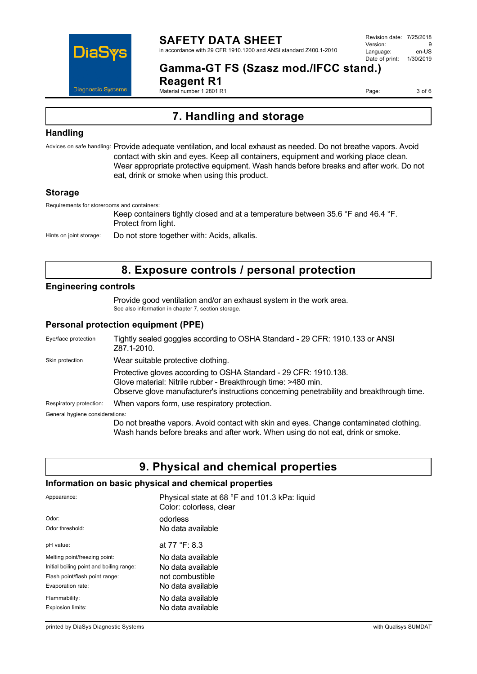

Revision date: 7/25/2018 Version: 9<br>Language: en-LIS Language: Date of print: 1/30/2019

# **Gamma-GT FS (Szasz mod./IFCC stand.)**

**Reagent R1** Material number 1 2801 R1

Page: 3 of 6

# **7. Handling and storage**

### **Handling**

Advices on safe handling: Provide adequate ventilation, and local exhaust as needed. Do not breathe vapors. Avoid contact with skin and eyes. Keep all containers, equipment and working place clean. Wear appropriate protective equipment. Wash hands before breaks and after work. Do not eat, drink or smoke when using this product.

### **Storage**

Requirements for storerooms and containers:

Keep containers tightly closed and at a temperature between 35.6 °F and 46.4 °F. Protect from light.

Hints on joint storage: Do not store together with: Acids, alkalis.

# **8. Exposure controls / personal protection**

### **Engineering controls**

Provide good ventilation and/or an exhaust system in the work area. See also information in chapter 7, section storage.

### **Personal protection equipment (PPE)**

| Eye/face protection             | Tightly sealed goggles according to OSHA Standard - 29 CFR: 1910.133 or ANSI<br>Z87.1-2010.                                                                                                                                    |
|---------------------------------|--------------------------------------------------------------------------------------------------------------------------------------------------------------------------------------------------------------------------------|
| Skin protection                 | Wear suitable protective clothing.                                                                                                                                                                                             |
|                                 | Protective gloves according to OSHA Standard - 29 CFR: 1910.138.<br>Glove material: Nitrile rubber - Breakthrough time: >480 min.<br>Observe glove manufacturer's instructions concerning penetrability and breakthrough time. |
| Respiratory protection:         | When vapors form, use respiratory protection.                                                                                                                                                                                  |
| General hygiene considerations: |                                                                                                                                                                                                                                |
|                                 | Do not breathe vapors. Avoid contact with skin and eyes. Change contaminated clothing.<br>Wash hands before breaks and after work. When using do not eat, drink or smoke.                                                      |

### **9. Physical and chemical properties**

### **Information on basic physical and chemical properties**

| Appearance:                              | Physical state at 68 °F and 101.3 kPa: liquid<br>Color: colorless, clear |
|------------------------------------------|--------------------------------------------------------------------------|
| Odor:                                    | odorless                                                                 |
| Odor threshold:                          | No data available                                                        |
| pH value:                                | at 77 °F: 8.3                                                            |
| Melting point/freezing point:            | No data available                                                        |
| Initial boiling point and boiling range: | No data available                                                        |
| Flash point/flash point range:           | not combustible                                                          |
| Evaporation rate:                        | No data available                                                        |
| Flammability:                            | No data available                                                        |
| Explosion limits:                        | No data available                                                        |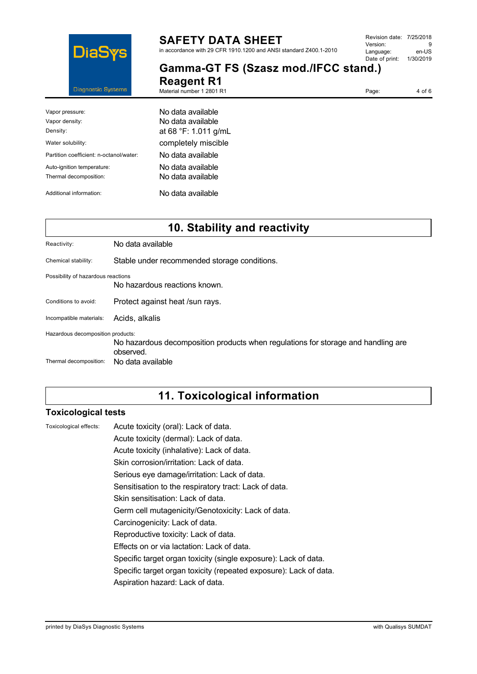

# **SAFETY DATA SHEET**

in accordance with 29 CFR 1910.1200 and ANSI standard Z400.1-2010

**Gamma-GT FS (Szasz mod./IFCC stand.)** 

**Reagent R1** Material number 1 2801 R1

Page: 4 of 6

| Vapor pressure:                         | No data available    |
|-----------------------------------------|----------------------|
| Vapor density:                          | No data available    |
| Density:                                | at 68 °F: 1.011 g/mL |
| Water solubility:                       | completely miscible  |
| Partition coefficient: n-octanol/water: | No data available    |
| Auto-ignition temperature:              | No data available    |
| Thermal decomposition:                  | No data available    |
| Additional information:                 | No data available    |

| 10. Stability and reactivity                                |                                                                                                                     |  |
|-------------------------------------------------------------|---------------------------------------------------------------------------------------------------------------------|--|
| Reactivity:                                                 | No data available                                                                                                   |  |
| Chemical stability:                                         | Stable under recommended storage conditions.                                                                        |  |
| Possibility of hazardous reactions                          | No hazardous reactions known.                                                                                       |  |
| Conditions to avoid:                                        | Protect against heat /sun rays.                                                                                     |  |
| Incompatible materials:                                     | Acids, alkalis                                                                                                      |  |
| Hazardous decomposition products:<br>Thermal decomposition: | No hazardous decomposition products when regulations for storage and handling are<br>observed.<br>No data available |  |
|                                                             |                                                                                                                     |  |

# **11. Toxicological information**

### **Toxicological tests**

Toxicological effects: Acute toxicity (oral): Lack of data. Acute toxicity (dermal): Lack of data.

Acute toxicity (inhalative): Lack of data.

Skin corrosion/irritation: Lack of data.

Serious eye damage/irritation: Lack of data.

Sensitisation to the respiratory tract: Lack of data.

Skin sensitisation: Lack of data.

Germ cell mutagenicity/Genotoxicity: Lack of data.

Carcinogenicity: Lack of data.

Reproductive toxicity: Lack of data.

Effects on or via lactation: Lack of data.

Specific target organ toxicity (single exposure): Lack of data.

Specific target organ toxicity (repeated exposure): Lack of data.

Aspiration hazard: Lack of data.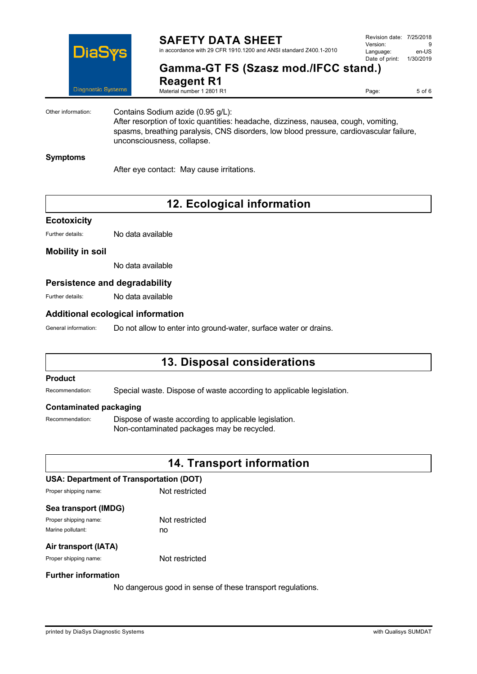

Revision date: 7/25/2018 Version: 9<br>Language: en-LIS Language: en-US<br>Date of print: 1/30/2019  $Date$  of print:

# **Gamma-GT FS (Szasz mod./IFCC stand.)**

**Reagent R1** Material number 1 2801 R1

Page: 5 of 6

Other information: Contains Sodium azide (0.95 g/L): After resorption of toxic quantities: headache, dizziness, nausea, cough, vomiting, spasms, breathing paralysis, CNS disorders, low blood pressure, cardiovascular failure, unconsciousness, collapse.

### **Symptoms**

After eye contact: May cause irritations.

# **12. Ecological information**

### **Ecotoxicity**

Further details: No data available

### **Mobility in soil**

No data available

### **Persistence and degradability**

Further details: No data available

### **Additional ecological information**

General information: Do not allow to enter into ground-water, surface water or drains.

# **13. Disposal considerations**

### **Product**

Recommendation: Special waste. Dispose of waste according to applicable legislation.

### **Contaminated packaging**

Recommendation: Dispose of waste according to applicable legislation. Non-contaminated packages may be recycled.

### **14. Transport information**

### **USA: Department of Transportation (DOT)**

Proper shipping name: Not restricted

### **Sea transport (IMDG)**

Proper shipping name: Not restricted Marine pollutant: no

### **Air transport (IATA)**

Proper shipping name: Not restricted

### **Further information**

No dangerous good in sense of these transport regulations.